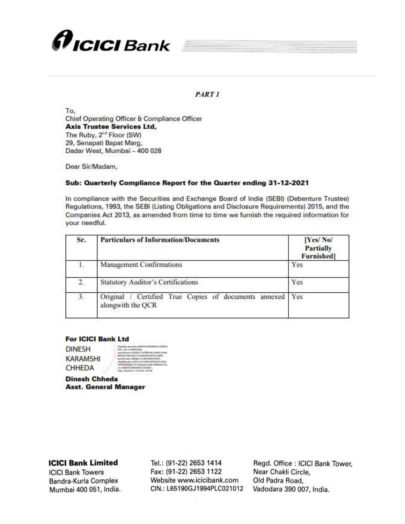

### **PART 1**

To. Chief Operating Officer & Compliance Officer **Axis Trustee Services Ltd,** The Ruby, 2<sup>nd</sup> Floor (SW) 29. Senapati Bapat Marg. Dadar West, Mumbai - 400 028

Dear Sir/Madam,

#### Sub: Quarterly Compliance Report for the Quarter ending 31-12-2021

In compliance with the Securities and Exchange Board of India (SEBI) (Debenture Trustee) Regulations, 1993, the SEBI (Listing Obligations and Disclosure Requirements) 2015, and the Companies Act 2013, as amended from time to time we furnish the required information for your needful.

| Sr. | <b>Particulars of Information/Documents</b>                                    | [Yes/No/<br><b>Partially</b><br><b>Furnished</b> ] |  |
|-----|--------------------------------------------------------------------------------|----------------------------------------------------|--|
| L.  | Management Confirmations                                                       | Yes                                                |  |
| 2.  | <b>Statutory Auditor's Certifications</b>                                      | Yes                                                |  |
| 3.  | Certified True Copies of documents<br>Original<br>annexed<br>alongwith the QCR | Yes                                                |  |

#### **For ICICI Bank Ltd**

**DINESH KARAMSHI** CHHEDA

**Dinesh Chheda Asst. General Manager** 

## **ICICI Bank Limited**

**ICICI Bank Towers** Bandra-Kurla Complex Mumbai 400 051, India.

Tel.: (91-22) 2653 1414 Fax: (91-22) 2653 1122 Website www.icicibank.com CIN.: L65190GJ1994PLC021012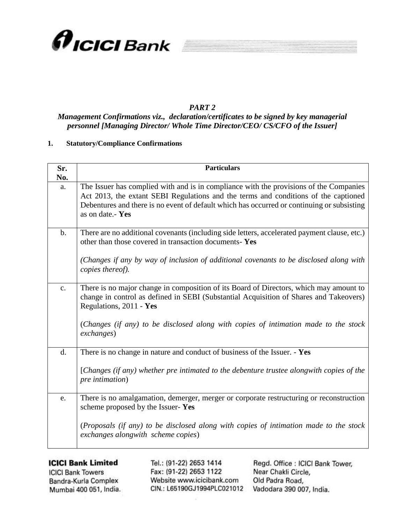

## *PART 2*

# *Management Confirmations viz., declaration/certificates to be signed by key managerial personnel [Managing Director/ Whole Time Director/CEO/ CS/CFO of the Issuer]*

### **1. Statutory/Compliance Confirmations**

| Sr.            | <b>Particulars</b>                                                                                                                                                                                                                                                                                               |
|----------------|------------------------------------------------------------------------------------------------------------------------------------------------------------------------------------------------------------------------------------------------------------------------------------------------------------------|
| No.            |                                                                                                                                                                                                                                                                                                                  |
| a.             | The Issuer has complied with and is in compliance with the provisions of the Companies<br>Act 2013, the extant SEBI Regulations and the terms and conditions of the captioned<br>Debentures and there is no event of default which has occurred or continuing or subsisting<br>as on date.- Yes                  |
| $b$ .          | There are no additional covenants (including side letters, accelerated payment clause, etc.)<br>other than those covered in transaction documents-Yes                                                                                                                                                            |
|                | (Changes if any by way of inclusion of additional covenants to be disclosed along with<br>copies thereof).                                                                                                                                                                                                       |
| $\mathbf{c}$ . | There is no major change in composition of its Board of Directors, which may amount to<br>change in control as defined in SEBI (Substantial Acquisition of Shares and Takeovers)<br>Regulations, 2011 - Yes<br>(Changes (if any) to be disclosed along with copies of intimation made to the stock<br>exchanges) |
| d.             | There is no change in nature and conduct of business of the Issuer. - Yes                                                                                                                                                                                                                                        |
|                | [Changes (if any) whether pre intimated to the debenture trustee alongwith copies of the<br>pre intimation)                                                                                                                                                                                                      |
| e.             | There is no amalgamation, demerger, merger or corporate restructuring or reconstruction<br>scheme proposed by the Issuer-Yes                                                                                                                                                                                     |
|                | (Proposals (if any) to be disclosed along with copies of intimation made to the stock<br>exchanges alongwith scheme copies)                                                                                                                                                                                      |

## **ICICI Bank Limited**

**ICICI Bank Towers** Bandra-Kurla Complex Mumbai 400 051, India.

Tel.: (91-22) 2653 1414 Fax: (91-22) 2653 1122 Website www.icicibank.com CIN.: L65190GJ1994PLC021012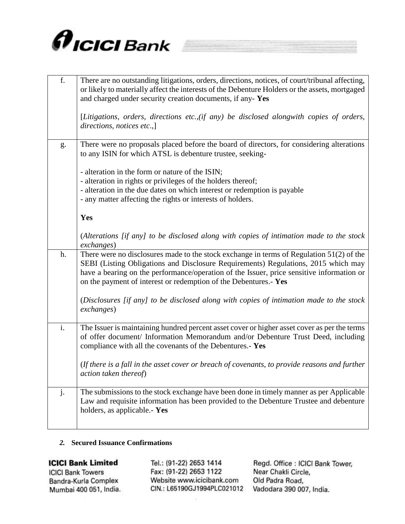

| f.             | There are no outstanding litigations, orders, directions, notices, of court/tribunal affecting,<br>or likely to materially affect the interests of the Debenture Holders or the assets, mortgaged<br>and charged under security creation documents, if any-Yes<br>[Litigations, orders, directions etc., (if any) be disclosed alongwith copies of orders, |
|----------------|------------------------------------------------------------------------------------------------------------------------------------------------------------------------------------------------------------------------------------------------------------------------------------------------------------------------------------------------------------|
|                | directions, notices etc.,]                                                                                                                                                                                                                                                                                                                                 |
| g.             | There were no proposals placed before the board of directors, for considering alterations<br>to any ISIN for which ATSL is debenture trustee, seeking-                                                                                                                                                                                                     |
|                | - alteration in the form or nature of the ISIN;                                                                                                                                                                                                                                                                                                            |
|                | - alteration in rights or privileges of the holders thereof;                                                                                                                                                                                                                                                                                               |
|                | - alteration in the due dates on which interest or redemption is payable                                                                                                                                                                                                                                                                                   |
|                | - any matter affecting the rights or interests of holders.                                                                                                                                                                                                                                                                                                 |
|                | Yes                                                                                                                                                                                                                                                                                                                                                        |
|                | (Alterations [if any] to be disclosed along with copies of intimation made to the stock<br>exchanges)                                                                                                                                                                                                                                                      |
| h.             | There were no disclosures made to the stock exchange in terms of Regulation $51(2)$ of the<br>SEBI (Listing Obligations and Disclosure Requirements) Regulations, 2015 which may<br>have a bearing on the performance/operation of the Issuer, price sensitive information or<br>on the payment of interest or redemption of the Debentures.- Yes          |
|                | (Disclosures [if any] to be disclosed along with copies of intimation made to the stock<br>exchanges)                                                                                                                                                                                                                                                      |
| i.             | The Issuer is maintaining hundred percent asset cover or higher asset cover as per the terms<br>of offer document/ Information Memorandum and/or Debenture Trust Deed, including<br>compliance with all the covenants of the Debentures.- Yes                                                                                                              |
|                | (If there is a fall in the asset cover or breach of covenants, to provide reasons and further<br>action taken thereof)                                                                                                                                                                                                                                     |
| $\mathbf{j}$ . | The submissions to the stock exchange have been done in timely manner as per Applicable<br>Law and requisite information has been provided to the Debenture Trustee and debenture<br>holders, as applicable. - Yes                                                                                                                                         |

### 2. Secured Issuance Confirmations

## **ICICI Bank Limited**

**ICICI Bank Towers** Bandra-Kurla Complex Mumbai 400 051, India. Tel.: (91-22) 2653 1414 Fax: (91-22) 2653 1122 Website www.icicibank.com CIN.: L65190GJ1994PLC021012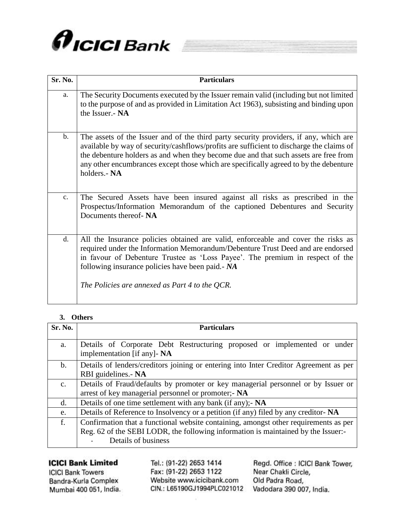

| Sr. No.        | <b>Particulars</b>                                                                                                                                                                                                                                                                                                                                                                 |
|----------------|------------------------------------------------------------------------------------------------------------------------------------------------------------------------------------------------------------------------------------------------------------------------------------------------------------------------------------------------------------------------------------|
| a.             | The Security Documents executed by the Issuer remain valid (including but not limited<br>to the purpose of and as provided in Limitation Act 1963), subsisting and binding upon<br>the Issuer.- NA                                                                                                                                                                                 |
| $\mathbf{b}$ . | The assets of the Issuer and of the third party security providers, if any, which are<br>available by way of security/cashflows/profits are sufficient to discharge the claims of<br>the debenture holders as and when they become due and that such assets are free from<br>any other encumbrances except those which are specifically agreed to by the debenture<br>holders.- NA |
| $\mathbf{c}$ . | The Secured Assets have been insured against all risks as prescribed in the<br>Prospectus/Information Memorandum of the captioned Debentures and Security<br>Documents thereof- NA                                                                                                                                                                                                 |
| d.             | All the Insurance policies obtained are valid, enforceable and cover the risks as<br>required under the Information Memorandum/Debenture Trust Deed and are endorsed<br>in favour of Debenture Trustee as 'Loss Payee'. The premium in respect of the<br>following insurance policies have been paid. - NA<br>The Policies are annexed as Part 4 to the QCR.                       |

## 3. Others

| Sr. No.        | <b>Particulars</b>                                                                                                                                                                               |  |  |  |  |  |
|----------------|--------------------------------------------------------------------------------------------------------------------------------------------------------------------------------------------------|--|--|--|--|--|
| a.             | Details of Corporate Debt Restructuring proposed or implemented or under<br>implementation [if any]- NA                                                                                          |  |  |  |  |  |
| $\mathbf{b}$ . | Details of lenders/creditors joining or entering into Inter Creditor Agreement as per<br>RBI guidelines.- NA                                                                                     |  |  |  |  |  |
| C <sub>1</sub> | Details of Fraud/defaults by promoter or key managerial personnel or by Issuer or<br>arrest of key managerial personnel or promoter;- NA                                                         |  |  |  |  |  |
| d.             | Details of one time settlement with any bank (if any); - NA                                                                                                                                      |  |  |  |  |  |
| e.             | Details of Reference to Insolvency or a petition (if any) filed by any creditor-NA                                                                                                               |  |  |  |  |  |
| f.             | Confirmation that a functional website containing, amongst other requirements as per<br>Reg. 62 of the SEBI LODR, the following information is maintained by the Issuer:-<br>Details of business |  |  |  |  |  |

# **ICICI Bank Limited**

**ICICI Bank Towers** Bandra-Kurla Complex Mumbai 400 051, India. Tel.: (91-22) 2653 1414 Fax: (91-22) 2653 1122 Website www.icicibank.com CIN.: L65190GJ1994PLC021012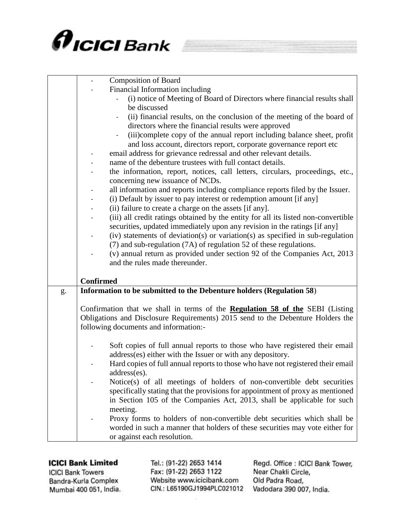

| <b>Composition of Board</b>                                                                                                                              |  |
|----------------------------------------------------------------------------------------------------------------------------------------------------------|--|
| Financial Information including                                                                                                                          |  |
| (i) notice of Meeting of Board of Directors where financial results shall                                                                                |  |
| be discussed                                                                                                                                             |  |
| (ii) financial results, on the conclusion of the meeting of the board of                                                                                 |  |
| directors where the financial results were approved                                                                                                      |  |
| (iii)complete copy of the annual report including balance sheet, profit                                                                                  |  |
| and loss account, directors report, corporate governance report etc                                                                                      |  |
| email address for grievance redressal and other relevant details.                                                                                        |  |
| name of the debenture trustees with full contact details.                                                                                                |  |
| the information, report, notices, call letters, circulars, proceedings, etc.,                                                                            |  |
| concerning new issuance of NCDs.                                                                                                                         |  |
| all information and reports including compliance reports filed by the Issuer.                                                                            |  |
| (i) Default by issuer to pay interest or redemption amount [if any]                                                                                      |  |
| (ii) failure to create a charge on the assets [if any].                                                                                                  |  |
| (iii) all credit ratings obtained by the entity for all its listed non-convertible                                                                       |  |
| securities, updated immediately upon any revision in the ratings [if any]                                                                                |  |
| (iv) statements of deviation(s) or variation(s) as specified in sub-regulation                                                                           |  |
| (7) and sub-regulation (7A) of regulation 52 of these regulations.                                                                                       |  |
| (v) annual return as provided under section 92 of the Companies Act, 2013                                                                                |  |
| and the rules made thereunder.                                                                                                                           |  |
|                                                                                                                                                          |  |
| <b>Confirmed</b>                                                                                                                                         |  |
| Information to be submitted to the Debenture holders (Regulation 58)<br>g.                                                                               |  |
|                                                                                                                                                          |  |
| Confirmation that we shall in terms of the <b>Regulation 58 of the</b> SEBI (Listing                                                                     |  |
| Obligations and Disclosure Requirements) 2015 send to the Debenture Holders the                                                                          |  |
| following documents and information:-                                                                                                                    |  |
|                                                                                                                                                          |  |
| Soft copies of full annual reports to those who have registered their email                                                                              |  |
| address(es) either with the Issuer or with any depository.                                                                                               |  |
| Hard copies of full annual reports to those who have not registered their email                                                                          |  |
|                                                                                                                                                          |  |
| address(es).                                                                                                                                             |  |
|                                                                                                                                                          |  |
| Notice(s) of all meetings of holders of non-convertible debt securities                                                                                  |  |
| specifically stating that the provisions for appointment of proxy as mentioned                                                                           |  |
| in Section 105 of the Companies Act, 2013, shall be applicable for such                                                                                  |  |
| meeting.                                                                                                                                                 |  |
| Proxy forms to holders of non-convertible debt securities which shall be<br>worded in such a manner that holders of these securities may vote either for |  |

**ICICI Bank Towers** Bandra-Kurla Complex Mumbai 400 051, India. Tel.: (91-22) 2653 1414 Fax: (91-22) 2653 1122 Website www.icicibank.com CIN.: L65190GJ1994PLC021012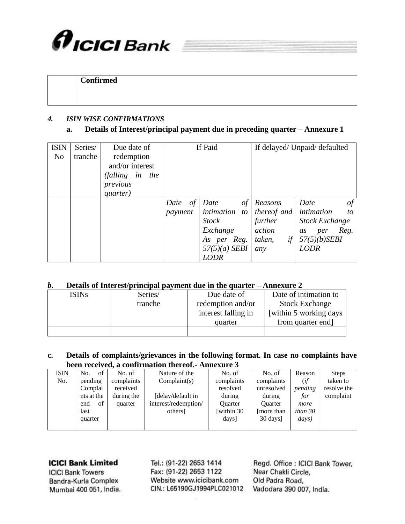

## **Confirmed**

### *4. ISIN WISE CONFIRMATIONS*

## **a. Details of Interest/principal payment due in preceding quarter – Annexure 1**

| <b>ISIN</b><br>N <sub>o</sub> | Series/<br>tranche | Due date of<br>redemption<br>and/or interest<br>(falling in the<br>previous<br>quarter) | If Paid               |                                                                                                                  |                                                                    | If delayed/ Unpaid/ defaulted                                                                                         |
|-------------------------------|--------------------|-----------------------------------------------------------------------------------------|-----------------------|------------------------------------------------------------------------------------------------------------------|--------------------------------------------------------------------|-----------------------------------------------------------------------------------------------------------------------|
|                               |                    |                                                                                         | of<br>Date<br>payment | Date<br>$\sigma f$<br>intimation to<br><b>Stock</b><br>Exchange<br>As per Reg.<br>$57(5)(a)$ SEBI<br><b>LODR</b> | Reasons<br>thereof and<br>further<br>action<br>if<br>taken,<br>any | $\circ f$<br>Date<br>intimation<br>to<br><b>Stock Exchange</b><br>Reg.<br>per<br>as<br>$57(5)(b)$ SEBI<br><b>LODR</b> |

## *b.* **Details of Interest/principal payment due in the quarter – Annexure 2**

| ISINs | Series/ | Due date of         | Date of intimation to   |
|-------|---------|---------------------|-------------------------|
|       | tranche | redemption and/or   | <b>Stock Exchange</b>   |
|       |         | interest falling in | [within 5 working days] |
|       |         | quarter             | from quarter end]       |
|       |         |                     |                         |

### **c. Details of complaints/grievances in the following format. In case no complaints have been received, a confirmation thereof.- Annexure 3**

| <b>ISIN</b> | of<br>No.             | No. of     | Nature of the        | No. of                        | No. of            | Reason          | <b>Steps</b> |
|-------------|-----------------------|------------|----------------------|-------------------------------|-------------------|-----------------|--------------|
| No.         | complaints<br>pending |            | Complain(s)          | complaints                    | complaints        | (if             | taken to     |
|             | Complai<br>received   |            |                      | resolved                      | unresolved        | pending         | resolve the  |
|             | nts at the            | during the | [delay/default in    | during                        | during            | for             | complaint    |
|             | of<br>end             | quarter    | interest/redemption/ | <b>Ouarter</b>                | <b>Ouarter</b>    | more            |              |
|             | last                  |            | others               | [within 30]                   | more than         | than $30$       |              |
|             | quarter               |            |                      | $\langle \text{days} \rangle$ | $30 \text{ days}$ | $\frac{days}{}$ |              |
|             |                       |            |                      |                               |                   |                 |              |

## **ICICI Bank Limited**

**ICICI Bank Towers** Bandra-Kurla Complex Mumbai 400 051, India.

Tel.: (91-22) 2653 1414 Fax: (91-22) 2653 1122 Website www.icicibank.com CIN.: L65190GJ1994PLC021012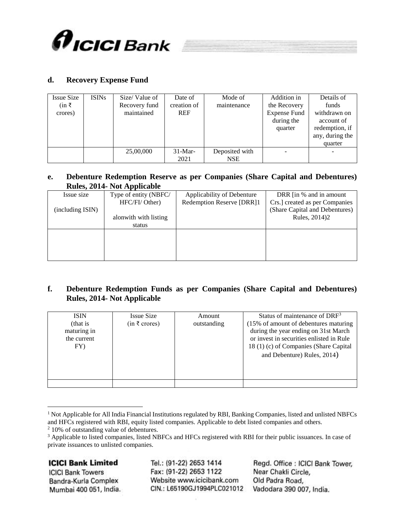

## **d. Recovery Expense Fund**

| <b>Issue Size</b><br>$(in \; ₹)$<br>crores) | <b>ISINs</b> | Size/Value of<br>Recovery fund<br>maintained | Date of<br>creation of<br><b>REF</b> | Mode of<br>maintenance | Addition in<br>the Recovery<br><b>Expense Fund</b><br>during the<br>quarter | Details of<br>funds<br>withdrawn on<br>account of<br>redemption, if<br>any, during the |
|---------------------------------------------|--------------|----------------------------------------------|--------------------------------------|------------------------|-----------------------------------------------------------------------------|----------------------------------------------------------------------------------------|
|                                             |              |                                              |                                      |                        |                                                                             | quarter                                                                                |
|                                             |              | 25,00,000                                    | $31-Mar-$                            | Deposited with         |                                                                             |                                                                                        |
|                                             |              |                                              | 2021                                 | <b>NSE</b>             |                                                                             |                                                                                        |

### **e. Debenture Redemption Reserve as per Companies (Share Capital and Debentures) Rules, 2014- Not Applicable**

| Issue size       | Type of entity (NBFC/ | Applicability of Debenture | DRR [in % and in amount]       |
|------------------|-----------------------|----------------------------|--------------------------------|
|                  | HFC/FI/ Other)        | Redemption Reserve [DRR]1  | Crs.] created as per Companies |
| (including ISIN) |                       |                            | (Share Capital and Debentures) |
|                  | alonwith with listing |                            | Rules, 2014)2                  |
|                  | status                |                            |                                |
|                  |                       |                            |                                |
|                  |                       |                            |                                |
|                  |                       |                            |                                |
|                  |                       |                            |                                |
|                  |                       |                            |                                |

## **f. Debenture Redemption Funds as per Companies (Share Capital and Debentures) Rules, 2014- Not Applicable**

| <b>ISIN</b>             | Issue Size                                  | Amount      | Status of maintenance of $DRF3$                                               |
|-------------------------|---------------------------------------------|-------------|-------------------------------------------------------------------------------|
| (that is<br>maturing in | $(in \; \bar{\mathcal{E}} \; \text{cross})$ | outstanding | (15% of amount of debentures maturing<br>during the year ending on 31st March |
| the current             |                                             |             | or invest in securities enlisted in Rule                                      |
| FY)                     |                                             |             | 18 (1) (c) of Companies (Share Capital<br>and Debenture) Rules, 2014)         |
|                         |                                             |             |                                                                               |
|                         |                                             |             |                                                                               |
|                         |                                             |             |                                                                               |

<sup>&</sup>lt;sup>1</sup> Not Applicable for All India Financial Institutions regulated by RBI, Banking Companies, listed and unlisted NBFCs and HFCs registered with RBI, equity listed companies. Applicable to debt listed companies and others.

## **ICICI Bank Limited**

 $\overline{a}$ 

**ICICI Bank Towers** Bandra-Kurla Complex Mumbai 400 051, India.

Tel.: (91-22) 2653 1414 Fax: (91-22) 2653 1122 Website www.icicibank.com CIN.: L65190GJ1994PLC021012

<sup>2</sup> 10% of outstanding value of debentures.

<sup>&</sup>lt;sup>3</sup> Applicable to listed companies, listed NBFCs and HFCs registered with RBI for their public issuances. In case of private issuances to unlisted companies.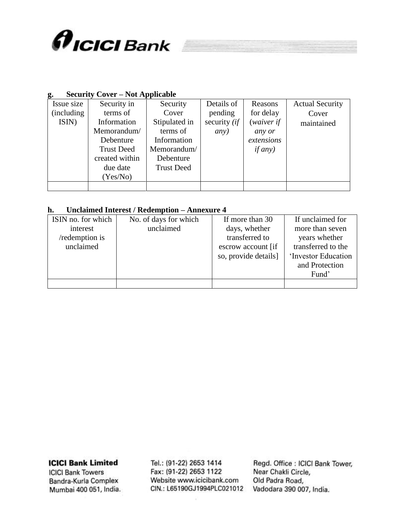

## **g. Security Cover – Not Applicable**

| Issue size  | Security in       | Security          | Details of   | Reasons    | <b>Actual Security</b> |
|-------------|-------------------|-------------------|--------------|------------|------------------------|
| (including) | terms of          | Cover             | pending      | for delay  | Cover                  |
| ISIN)       | Information       | Stipulated in     | security (if | (waiver if | maintained             |
|             | Memorandum/       | terms of          | any)         | any or     |                        |
|             | Debenture         | Information       |              | extensions |                        |
|             | <b>Trust Deed</b> | Memorandum/       |              | if any)    |                        |
|             | created within    | Debenture         |              |            |                        |
|             | due date          | <b>Trust Deed</b> |              |            |                        |
|             | (Yes/No)          |                   |              |            |                        |
|             |                   |                   |              |            |                        |

## **h. Unclaimed Interest / Redemption – Annexure 4**

| ISIN no. for which | No. of days for which | If more than 30      | If unclaimed for    |
|--------------------|-----------------------|----------------------|---------------------|
| interest           | unclaimed             | days, whether        | more than seven     |
| /redemption is     |                       | transferred to       | years whether       |
| unclaimed          |                       | escrow account [if]  | transferred to the  |
|                    |                       | so, provide details] | 'Investor Education |
|                    |                       |                      | and Protection      |
|                    |                       |                      | Fund'               |
|                    |                       |                      |                     |

**ICICI Bank Limited** 

**ICICI Bank Towers** Bandra-Kurla Complex Mumbai 400 051, India.

Tel.: (91-22) 2653 1414 Fax: (91-22) 2653 1122 Website www.icicibank.com CIN.: L65190GJ1994PLC021012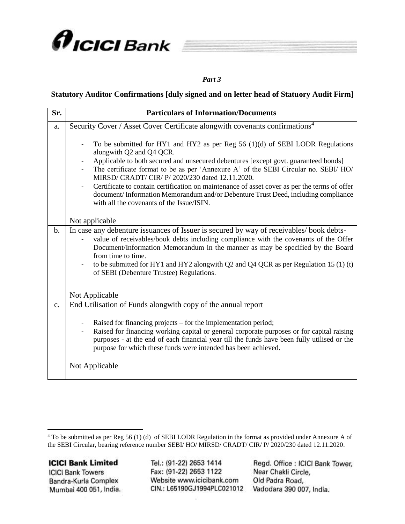



#### *Part 3*

## **Statutory Auditor Confirmations [duly signed and on letter head of Statuory Audit Firm]**

| Sr.            | <b>Particulars of Information/Documents</b>                                                                                                                                                                                                                                                                                                                                                                                                                                                                                                                                    |
|----------------|--------------------------------------------------------------------------------------------------------------------------------------------------------------------------------------------------------------------------------------------------------------------------------------------------------------------------------------------------------------------------------------------------------------------------------------------------------------------------------------------------------------------------------------------------------------------------------|
| a.             | Security Cover / Asset Cover Certificate alongwith covenants confirmations <sup>4</sup>                                                                                                                                                                                                                                                                                                                                                                                                                                                                                        |
|                | To be submitted for HY1 and HY2 as per Reg $56$ (1)(d) of SEBI LODR Regulations<br>alongwith Q2 and Q4 QCR.<br>Applicable to both secured and unsecured debentures [except govt. guaranteed bonds]<br>The certificate format to be as per 'Annexure A' of the SEBI Circular no. SEBI/ HO/<br>MIRSD/ CRADT/ CIR/ P/2020/230 dated 12.11.2020.<br>Certificate to contain certification on maintenance of asset cover as per the terms of offer<br>document/Information Memorandum and/or Debenture Trust Deed, including compliance<br>with all the covenants of the Issue/ISIN. |
|                | Not applicable                                                                                                                                                                                                                                                                                                                                                                                                                                                                                                                                                                 |
| $\mathbf{b}$ . | In case any debenture issuances of Issuer is secured by way of receivables/book debts-<br>value of receivables/book debts including compliance with the covenants of the Offer<br>Document/Information Memorandum in the manner as may be specified by the Board<br>from time to time.<br>to be submitted for HY1 and HY2 alongwith Q2 and Q4 QCR as per Regulation 15 (1) (t)<br>of SEBI (Debenture Trustee) Regulations.                                                                                                                                                     |
|                | Not Applicable                                                                                                                                                                                                                                                                                                                                                                                                                                                                                                                                                                 |
| $\mathbf{c}$ . | End Utilisation of Funds alongwith copy of the annual report<br>Raised for financing projects – for the implementation period;<br>Raised for financing working capital or general corporate purposes or for capital raising<br>$\qquad \qquad \blacksquare$<br>purposes - at the end of each financial year till the funds have been fully utilised or the<br>purpose for which these funds were intended has been achieved.                                                                                                                                                   |
|                | Not Applicable                                                                                                                                                                                                                                                                                                                                                                                                                                                                                                                                                                 |

**ICICI Bank Limited** 

 $\overline{a}$ 

**ICICI Bank Towers** Bandra-Kurla Complex Mumbai 400 051, India.

Tel.: (91-22) 2653 1414 Fax: (91-22) 2653 1122 Website www.icicibank.com CIN.: L65190GJ1994PLC021012

<sup>4</sup> To be submitted as per Reg 56 (1) (d) of SEBI LODR Regulation in the format as provided under Annexure A of the SEBI Circular, bearing reference number SEBI/ HO/ MIRSD/ CRADT/ CIR/ P/ 2020/230 dated 12.11.2020.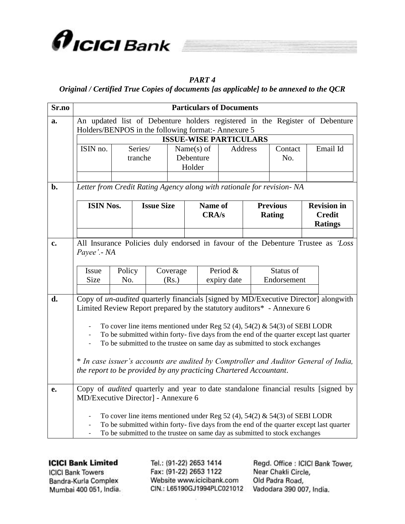

# *PART 4*

*Original / Certified True Copies of documents [as applicable] to be annexed to the QCR*

| Sr.no | <b>Particulars of Documents</b>                                              |                               |                   |                            |         |             |                |                                                                            |                                                                                           |
|-------|------------------------------------------------------------------------------|-------------------------------|-------------------|----------------------------|---------|-------------|----------------|----------------------------------------------------------------------------|-------------------------------------------------------------------------------------------|
| a.    | An updated list of Debenture holders registered in the Register of Debenture |                               |                   |                            |         |             |                |                                                                            |                                                                                           |
|       | Holders/BENPOS in the following format:- Annexure 5                          |                               |                   |                            |         |             |                |                                                                            |                                                                                           |
|       |                                                                              | <b>ISSUE-WISE PARTICULARS</b> |                   |                            |         |             |                |                                                                            |                                                                                           |
|       | ISIN no.                                                                     | Series/<br>tranche            |                   | Name $(s)$ of<br>Debenture |         |             | <b>Address</b> | Contact<br>No.                                                             | Email Id                                                                                  |
|       |                                                                              |                               |                   | Holder                     |         |             |                |                                                                            |                                                                                           |
|       |                                                                              |                               |                   |                            |         |             |                |                                                                            |                                                                                           |
| b.    | Letter from Credit Rating Agency along with rationale for revision- NA       |                               |                   |                            |         |             |                |                                                                            |                                                                                           |
|       |                                                                              |                               |                   |                            |         |             |                |                                                                            |                                                                                           |
|       | <b>ISIN Nos.</b>                                                             |                               | <b>Issue Size</b> |                            | Name of |             |                | <b>Previous</b>                                                            | <b>Revision</b> in                                                                        |
|       |                                                                              |                               |                   |                            | CRA/s   |             |                | <b>Rating</b>                                                              | <b>Credit</b><br><b>Ratings</b>                                                           |
|       |                                                                              |                               |                   |                            |         |             |                |                                                                            |                                                                                           |
| c.    |                                                                              |                               |                   |                            |         |             |                |                                                                            | All Insurance Policies duly endorsed in favour of the Debenture Trustee as 'Loss          |
|       | Payee'. - NA                                                                 |                               |                   |                            |         |             |                |                                                                            |                                                                                           |
|       |                                                                              |                               |                   |                            |         |             |                |                                                                            |                                                                                           |
|       | Issue<br><b>Size</b>                                                         | Policy                        | Coverage          |                            |         | Period &    |                | Status of                                                                  |                                                                                           |
|       |                                                                              | No.                           | (Rs.)             |                            |         | expiry date |                | Endorsement                                                                |                                                                                           |
| d.    |                                                                              |                               |                   |                            |         |             |                |                                                                            | Copy of un-audited quarterly financials [signed by MD/Executive Director] alongwith       |
|       |                                                                              |                               |                   |                            |         |             |                | Limited Review Report prepared by the statutory auditors* - Annexure 6     |                                                                                           |
|       |                                                                              |                               |                   |                            |         |             |                |                                                                            |                                                                                           |
|       |                                                                              |                               |                   |                            |         |             |                | To cover line items mentioned under Reg 52 (4), 54(2) & 54(3) of SEBI LODR | To be submitted within forty- five days from the end of the quarter except last quarter   |
|       |                                                                              |                               |                   |                            |         |             |                | To be submitted to the trustee on same day as submitted to stock exchanges |                                                                                           |
|       |                                                                              |                               |                   |                            |         |             |                |                                                                            |                                                                                           |
|       |                                                                              |                               |                   |                            |         |             |                |                                                                            | * In case issuer's accounts are audited by Comptroller and Auditor General of India,      |
|       | the report to be provided by any practicing Chartered Accountant.            |                               |                   |                            |         |             |                |                                                                            |                                                                                           |
| e.    |                                                                              |                               |                   |                            |         |             |                |                                                                            | Copy of <i>audited</i> quarterly and year to date standalone financial results [signed by |
|       | MD/Executive Director] - Annexure 6                                          |                               |                   |                            |         |             |                |                                                                            |                                                                                           |
|       |                                                                              |                               |                   |                            |         |             |                |                                                                            |                                                                                           |
|       |                                                                              |                               |                   |                            |         |             |                | To cover line items mentioned under Reg 52 (4), 54(2) & 54(3) of SEBI LODR |                                                                                           |
|       |                                                                              |                               |                   |                            |         |             |                | To be submitted to the trustee on same day as submitted to stock exchanges | To be submitted within forty- five days from the end of the quarter except last quarter   |
|       |                                                                              |                               |                   |                            |         |             |                |                                                                            |                                                                                           |

## **ICICI Bank Limited**

**ICICI Bank Towers** Bandra-Kurla Complex Mumbai 400 051, India. Tel.: (91-22) 2653 1414 Fax: (91-22) 2653 1122 Website www.icicibank.com CIN.: L65190GJ1994PLC021012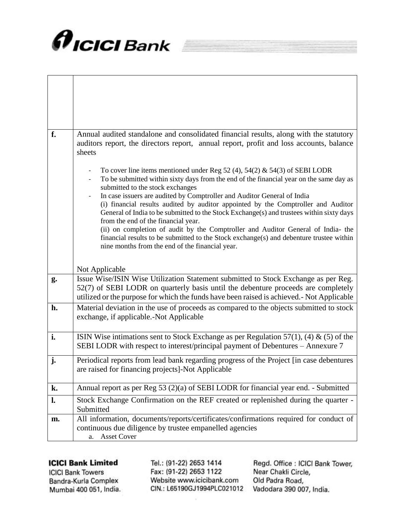

 $\mathbf{I}$ 

| f. | Annual audited standalone and consolidated financial results, along with the statutory<br>auditors report, the directors report, annual report, profit and loss accounts, balance<br>sheets                                                                                                                                                                                                                                                                                                                                                                                                                                                                                                                                                    |
|----|------------------------------------------------------------------------------------------------------------------------------------------------------------------------------------------------------------------------------------------------------------------------------------------------------------------------------------------------------------------------------------------------------------------------------------------------------------------------------------------------------------------------------------------------------------------------------------------------------------------------------------------------------------------------------------------------------------------------------------------------|
|    | To cover line items mentioned under Reg 52 (4), 54(2) & 54(3) of SEBI LODR<br>To be submitted within sixty days from the end of the financial year on the same day as<br>submitted to the stock exchanges<br>In case issuers are audited by Comptroller and Auditor General of India<br>(i) financial results audited by auditor appointed by the Comptroller and Auditor<br>General of India to be submitted to the Stock Exchange(s) and trustees within sixty days<br>from the end of the financial year.<br>(ii) on completion of audit by the Comptroller and Auditor General of India- the<br>financial results to be submitted to the Stock exchange(s) and debenture trustee within<br>nine months from the end of the financial year. |
|    | Not Applicable                                                                                                                                                                                                                                                                                                                                                                                                                                                                                                                                                                                                                                                                                                                                 |
| g. | Issue Wise/ISIN Wise Utilization Statement submitted to Stock Exchange as per Reg.<br>52(7) of SEBI LODR on quarterly basis until the debenture proceeds are completely<br>utilized or the purpose for which the funds have been raised is achieved.- Not Applicable                                                                                                                                                                                                                                                                                                                                                                                                                                                                           |
| h. | Material deviation in the use of proceeds as compared to the objects submitted to stock<br>exchange, if applicable.-Not Applicable                                                                                                                                                                                                                                                                                                                                                                                                                                                                                                                                                                                                             |
| i. | ISIN Wise intimations sent to Stock Exchange as per Regulation 57(1), (4) & (5) of the<br>SEBI LODR with respect to interest/principal payment of Debentures – Annexure 7                                                                                                                                                                                                                                                                                                                                                                                                                                                                                                                                                                      |
| j. | Periodical reports from lead bank regarding progress of the Project [in case debentures<br>are raised for financing projects]-Not Applicable                                                                                                                                                                                                                                                                                                                                                                                                                                                                                                                                                                                                   |
| k. | Annual report as per Reg 53 (2)(a) of SEBI LODR for financial year end. - Submitted                                                                                                                                                                                                                                                                                                                                                                                                                                                                                                                                                                                                                                                            |
| l. | Stock Exchange Confirmation on the REF created or replenished during the quarter -<br>Submitted                                                                                                                                                                                                                                                                                                                                                                                                                                                                                                                                                                                                                                                |
| m. | All information, documents/reports/certificates/confirmations required for conduct of<br>continuous due diligence by trustee empanelled agencies<br><b>Asset Cover</b><br>a.                                                                                                                                                                                                                                                                                                                                                                                                                                                                                                                                                                   |

# **ICICI Bank Limited**

**ICICI Bank Towers** Bandra-Kurla Complex Mumbai 400 051, India. Tel.: (91-22) 2653 1414 Fax: (91-22) 2653 1122 Website www.icicibank.com CIN.: L65190GJ1994PLC021012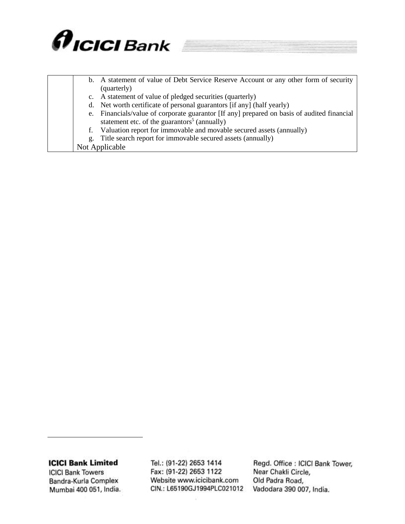

|    | b. A statement of value of Debt Service Reserve Account or any other form of security   |
|----|-----------------------------------------------------------------------------------------|
|    | (quarterly)                                                                             |
|    | c. A statement of value of pledged securities (quarterly)                               |
|    | d. Net worth certificate of personal guarantors [if any] (half yearly)                  |
| e. | Financials/value of corporate guarantor [If any] prepared on basis of audited financial |
|    | statement etc. of the guarantors <sup>5</sup> (annually)                                |
| f. | Valuation report for immovable and movable secured assets (annually)                    |
| g. | Title search report for immovable secured assets (annually)                             |
|    | Not Applicable                                                                          |

**ICICI Bank Towers** Bandra-Kurla Complex Mumbai 400 051, India.

Tel.: (91-22) 2653 1414 Fax: (91-22) 2653 1122 Website www.icicibank.com CIN.: L65190GJ1994PLC021012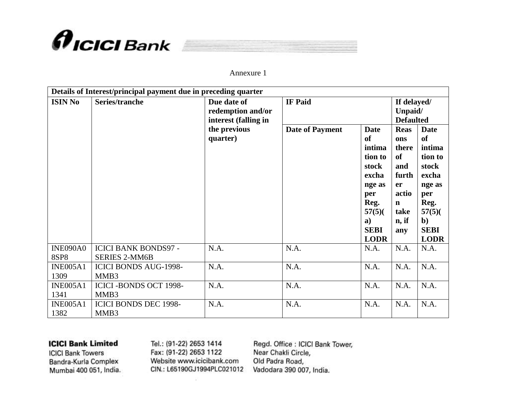

|--|--|--|

### Annexure 1

|                                | Details of Interest/principal payment due in preceding quarter |                                                                                      |                                          |                                                                                                                                               |                                                                                                                                                              |                                                                                                                                          |  |
|--------------------------------|----------------------------------------------------------------|--------------------------------------------------------------------------------------|------------------------------------------|-----------------------------------------------------------------------------------------------------------------------------------------------|--------------------------------------------------------------------------------------------------------------------------------------------------------------|------------------------------------------------------------------------------------------------------------------------------------------|--|
| <b>ISIN No</b>                 | Series/tranche                                                 | Due date of<br>redemption and/or<br>interest (falling in<br>the previous<br>quarter) | <b>IF Paid</b><br><b>Date of Payment</b> | <b>Date</b><br><sub>of</sub><br>intima<br>tion to<br>stock<br>excha<br>nge as<br>per<br>Reg.<br>$57(5)$ (<br>a)<br><b>SEBI</b><br><b>LODR</b> | If delayed/<br>Unpaid/<br><b>Defaulted</b><br><b>Reas</b><br>ons<br>there<br><b>of</b><br>and<br>furth<br>er<br>actio<br>$\mathbf n$<br>take<br>n, if<br>any | <b>Date</b><br>of<br>intima<br>tion to<br>stock<br>excha<br>nge as<br>per<br>Reg.<br>57(5)<br>$\mathbf{b}$<br><b>SEBI</b><br><b>LODR</b> |  |
| <b>INE090A0</b><br><b>8SP8</b> | <b>ICICI BANK BONDS97 -</b><br><b>SERIES 2-MM6B</b>            | N.A.                                                                                 | N.A.                                     | N.A.                                                                                                                                          | N.A.                                                                                                                                                         | N.A.                                                                                                                                     |  |
| <b>INE005A1</b><br>1309        | <b>ICICI BONDS AUG-1998-</b><br>MMB3                           | N.A.                                                                                 | N.A.                                     | N.A.                                                                                                                                          | N.A.                                                                                                                                                         | N.A.                                                                                                                                     |  |
| <b>INE005A1</b><br>1341        | <b>ICICI-BONDS OCT 1998-</b><br>MMB3                           | N.A.                                                                                 | N.A.                                     | N.A.                                                                                                                                          | N.A.                                                                                                                                                         | N.A.                                                                                                                                     |  |
| <b>INE005A1</b><br>1382        | <b>ICICI BONDS DEC 1998-</b><br>MMB3                           | N.A.                                                                                 | N.A.                                     | N.A.                                                                                                                                          | N.A.                                                                                                                                                         | N.A.                                                                                                                                     |  |

## **ICICI Bank Limited**

**ICICI Bank Towers** Bandra-Kurla Complex Mumbai 400 051, India. Tel.: (91-22) 2653 1414 Fax: (91-22) 2653 1122 Website www.icicibank.com CIN.: L65190GJ1994PLC021012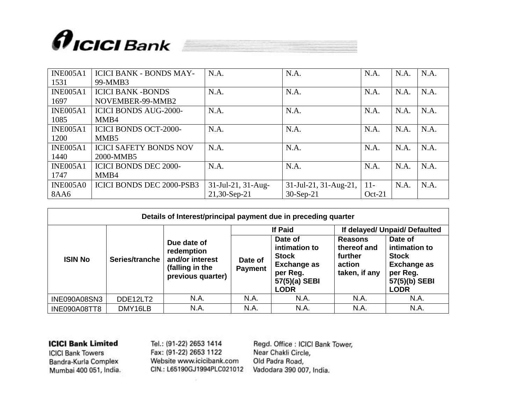

| <b>INE005A1</b> | <b>ICICI BANK - BONDS MAY-</b>   | N.A.               | N.A.                  | N.A.     | N.A. | N.A. |
|-----------------|----------------------------------|--------------------|-----------------------|----------|------|------|
| 1531            | 99-MMB3                          |                    |                       |          |      |      |
| <b>INE005A1</b> | <b>ICICI BANK -BONDS</b>         | N.A.               | N.A.                  | N.A.     | N.A. | N.A. |
| 1697            | NOVEMBER-99-MMB2                 |                    |                       |          |      |      |
| <b>INE005A1</b> | <b>ICICI BONDS AUG-2000-</b>     | N.A.               | N.A.                  | N.A.     | N.A. | N.A. |
| 1085            | MMB4                             |                    |                       |          |      |      |
| <b>INE005A1</b> | <b>ICICI BONDS OCT-2000-</b>     | N.A.               | N.A.                  | N.A.     | N.A. | N.A. |
| 1200            | MMB <sub>5</sub>                 |                    |                       |          |      |      |
| <b>INE005A1</b> | <b>ICICI SAFETY BONDS NOV</b>    | N.A.               | N.A.                  | N.A.     | N.A. | N.A. |
| 1440            | 2000-MMB5                        |                    |                       |          |      |      |
| <b>INE005A1</b> | <b>ICICI BONDS DEC 2000-</b>     | N.A.               | N.A.                  | N.A.     | N.A. | N.A. |
| 1747            | MMB4                             |                    |                       |          |      |      |
| <b>INE005A0</b> | <b>ICICI BONDS DEC 2000-PSB3</b> | 31-Jul-21, 31-Aug- | 31-Jul-21, 31-Aug-21, | $11 -$   | N.A. | N.A. |
| <b>8AA6</b>     |                                  | 21,30-Sep-21       | $30-Sep-21$           | $Oct-21$ |      |      |

| Details of Interest/principal payment due in preceding quarter |                |                                                                                      |                           |                                                                                                            |                                                                     |                                                                                                            |  |
|----------------------------------------------------------------|----------------|--------------------------------------------------------------------------------------|---------------------------|------------------------------------------------------------------------------------------------------------|---------------------------------------------------------------------|------------------------------------------------------------------------------------------------------------|--|
|                                                                |                |                                                                                      | <b>If Paid</b>            |                                                                                                            | If delayed/ Unpaid/ Defaulted                                       |                                                                                                            |  |
| <b>ISIN No</b>                                                 | Series/tranche | Due date of<br>redemption<br>and/or interest<br>(falling in the<br>previous quarter) | Date of<br><b>Payment</b> | Date of<br>intimation to<br><b>Stock</b><br><b>Exchange as</b><br>per Reg.<br>57(5)(a) SEBI<br><b>LODR</b> | <b>Reasons</b><br>thereof and<br>further<br>action<br>taken, if any | Date of<br>intimation to<br><b>Stock</b><br><b>Exchange as</b><br>per Reg.<br>57(5)(b) SEBI<br><b>LODR</b> |  |
| INE090A08SN3                                                   | DDE12LT2       | N.A.                                                                                 | N.A.                      | N.A.                                                                                                       | N.A.                                                                | N.A.                                                                                                       |  |
| INE090A08TT8                                                   | DMY16LB        | N.A.                                                                                 | N.A.                      | N.A.                                                                                                       | N.A.                                                                | N.A.                                                                                                       |  |

**ICICI Bank Towers** Bandra-Kurla Complex Mumbai 400 051, India. Tel.: (91-22) 2653 1414 Fax: (91-22) 2653 1122 Website www.icicibank.com CIN.: L65190GJ1994PLC021012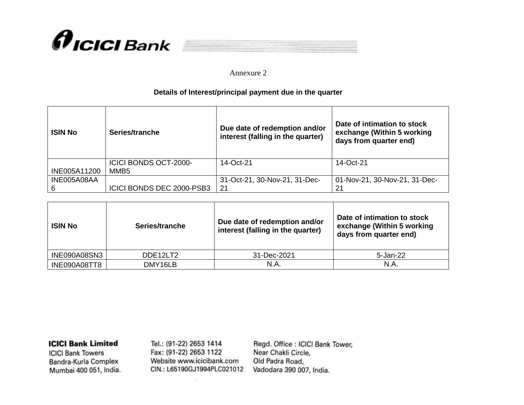



### Annexure 2

## **Details of Interest/principal payment due in the quarter**

| <b>ISIN No</b> | Series/tranche                                   | Due date of redemption and/or<br>interest (falling in the quarter) | Date of intimation to stock<br>exchange (Within 5 working<br>days from quarter end) |
|----------------|--------------------------------------------------|--------------------------------------------------------------------|-------------------------------------------------------------------------------------|
| INE005A11200   | <b>ICICI BONDS OCT-2000-</b><br>MMB <sub>5</sub> | 14-Oct-21                                                          | 14-Oct-21                                                                           |
| INE005A08AA    | ICICI BONDS DEC 2000-PSB3                        | 31-Oct-21, 30-Nov-21, 31-Dec-<br>21                                | 01-Nov-21, 30-Nov-21, 31-Dec-<br>21                                                 |

| <b>ISIN No</b>      | Series/tranche | Due date of redemption and/or<br>interest (falling in the quarter) | Date of intimation to stock<br>exchange (Within 5 working<br>days from quarter end) |
|---------------------|----------------|--------------------------------------------------------------------|-------------------------------------------------------------------------------------|
| <b>INE090A08SN3</b> | DDE12LT2       | 31-Dec-2021                                                        | 5-Jan-22                                                                            |
| INE090A08TT8        | DMY16LB        | N.A.                                                               | N.A.                                                                                |

**ICICI Bank Limited** 

**ICICI Bank Towers** Bandra-Kurla Complex Mumbai 400 051, India. Tel.: (91-22) 2653 1414 Fax: (91-22) 2653 1122 Website www.icicibank.com CIN.: L65190GJ1994PLC021012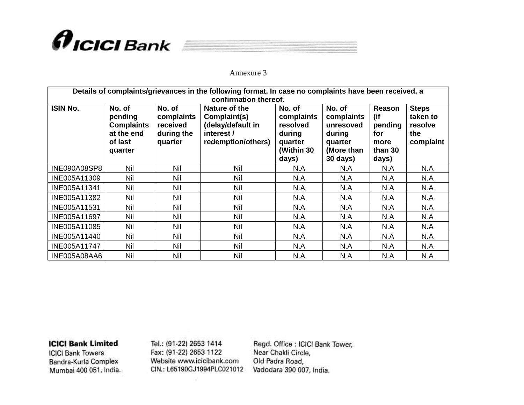

|--|--|--|--|--|

Annexure 3

| Details of complaints/grievances in the following format. In case no complaints have been received, a<br>confirmation thereof. |                                                                            |                                                           |                                                                                        |                                                                              |                                                                                  |                                                                    |                                                         |
|--------------------------------------------------------------------------------------------------------------------------------|----------------------------------------------------------------------------|-----------------------------------------------------------|----------------------------------------------------------------------------------------|------------------------------------------------------------------------------|----------------------------------------------------------------------------------|--------------------------------------------------------------------|---------------------------------------------------------|
| <b>ISIN No.</b>                                                                                                                | No. of<br>pending<br><b>Complaints</b><br>at the end<br>of last<br>quarter | No. of<br>complaints<br>received<br>during the<br>quarter | Nature of the<br>Complaint(s)<br>(delay/default in<br>interest /<br>redemption/others) | No. of<br>complaints<br>resolved<br>during<br>quarter<br>(Within 30<br>days) | No. of<br>complaints<br>unresoved<br>during<br>quarter<br>(More than<br>30 days) | <b>Reason</b><br>(if<br>pending<br>for<br>more<br>than 30<br>days) | <b>Steps</b><br>taken to<br>resolve<br>the<br>complaint |
| INE090A08SP8                                                                                                                   | <b>Nil</b>                                                                 | <b>Nil</b>                                                | <b>Nil</b>                                                                             | N.A                                                                          | N.A                                                                              | N.A                                                                | N.A                                                     |
| INE005A11309                                                                                                                   | <b>Nil</b>                                                                 | Nil                                                       | Nil                                                                                    | N.A                                                                          | N.A                                                                              | N.A                                                                | N.A                                                     |
| INE005A11341                                                                                                                   | <b>Nil</b>                                                                 | Nil                                                       | Nil                                                                                    | N.A                                                                          | N.A                                                                              | N.A                                                                | N.A                                                     |
| INE005A11382                                                                                                                   | <b>Nil</b>                                                                 | Nil                                                       | <b>Nil</b>                                                                             | N.A                                                                          | N.A                                                                              | N.A                                                                | N.A                                                     |
| INE005A11531                                                                                                                   | Nil                                                                        | Nil                                                       | Nil                                                                                    | N.A                                                                          | N.A                                                                              | N.A                                                                | N.A                                                     |
| INE005A11697                                                                                                                   | <b>Nil</b>                                                                 | Nil                                                       | <b>Nil</b>                                                                             | N.A                                                                          | N.A                                                                              | N.A                                                                | N.A                                                     |
| INE005A11085                                                                                                                   | <b>Nil</b>                                                                 | Nil                                                       | Nil                                                                                    | N.A                                                                          | N.A                                                                              | N.A                                                                | N.A                                                     |
| INE005A11440                                                                                                                   | <b>Nil</b>                                                                 | Nil                                                       | Nil                                                                                    | N.A                                                                          | N.A                                                                              | N.A                                                                | N.A                                                     |
| INE005A11747                                                                                                                   | Nil                                                                        | <b>Nil</b>                                                | Nil                                                                                    | N.A                                                                          | N.A                                                                              | N.A                                                                | N.A                                                     |
| INE005A08AA6                                                                                                                   | <b>Nil</b>                                                                 | <b>Nil</b>                                                | <b>Nil</b>                                                                             | N.A                                                                          | N.A                                                                              | N.A                                                                | N.A                                                     |

**ICICI Bank Limited** 

**ICICI Bank Towers** Bandra-Kurla Complex Mumbai 400 051, India. Tel.: (91-22) 2653 1414 Fax: (91-22) 2653 1122 Website www.icicibank.com CIN.: L65190GJ1994PLC021012